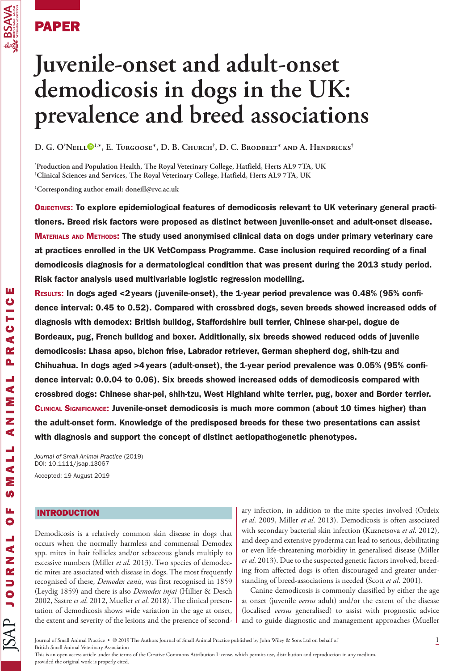

**Va. BS/**<br>Value of the second contract of the second contract of the second contract of the second contract of the second contract of the second contract of the second contract of the second contract of the second contract

ш  $\ddot{\mathbf{c}}$ Ē  $\ddot{\mathbf{C}}$ d

**BSAVA** 

# **Juvenile-onset and adult-onset demodicosis in dogs in the UK: prevalence and breed associations**

**D. G. O'Neill 1,\*, E. Turgoose\*, D. B. Church† , D. C. Brodbelt\* and A. Hendricks†**

**\* Production and Population Health, The Royal Veterinary College, Hatfield, Herts AL9 7TA, UK † Clinical Sciences and Services, The Royal Veterinary College, Hatfield, Herts AL9 7TA, UK**

**1 Corresponding author email: doneill@rvc.ac.uk**

Objectives: To explore epidemiological features of demodicosis relevant to UK veterinary general practitioners. Breed risk factors were proposed as distinct between juvenile-onset and adult-onset disease. MATERIALS AND METHODS: The study used anonymised clinical data on dogs under primary veterinary care at practices enrolled in the UK VetCompass Programme. Case inclusion required recording of a final demodicosis diagnosis for a dermatological condition that was present during the 2013 study period. Risk factor analysis used multivariable logistic regression modelling.

Results: In dogs aged <2years (juvenile-onset), the 1-year period prevalence was 0.48% (95% confidence interval: 0.45 to 0.52). Compared with crossbred dogs, seven breeds showed increased odds of diagnosis with demodex: British bulldog, Staffordshire bull terrier, Chinese shar-pei, dogue de Bordeaux, pug, French bulldog and boxer. Additionally, six breeds showed reduced odds of juvenile demodicosis: Lhasa apso, bichon frise, Labrador retriever, German shepherd dog, shih-tzu and Chihuahua. In dogs aged >4years (adult-onset), the 1-year period prevalence was 0.05% (95% confidence interval: 0.0.04 to 0.06). Six breeds showed increased odds of demodicosis compared with crossbred dogs: Chinese shar-pei, shih-tzu, West Highland white terrier, pug, boxer and Border terrier. Clinical Significance: Juvenile-onset demodicosis is much more common (about 10 times higher) than the adult-onset form. Knowledge of the predisposed breeds for these two presentations can assist with diagnosis and support the concept of distinct aetiopathogenetic phenotypes.

*Journal of Small Animal Practice* (2019) DOI: 10.1111/jsap.13067 Accepted: 19 August 2019

# INTRODUCTION

Demodicosis is a relatively common skin disease in dogs that occurs when the normally harmless and commensal Demodex spp. mites in hair follicles and/or sebaceous glands multiply to excessive numbers (Miller *et al*. 2013). Two species of demodectic mites are associated with disease in dogs. The most frequently recognised of these, *Demodex canis*, was first recognised in 1859 (Leydig 1859) and there is also *Demodex injai* (Hillier & Desch 2002, Sastre *et al*. 2012, Mueller *et al*. 2018). The clinical presentation of demodicosis shows wide variation in the age at onset, the extent and severity of the lesions and the presence of second-

ary infection, in addition to the mite species involved (Ordeix *et al*. 2009, Miller *et al*. 2013). Demodicosis is often associated with secondary bacterial skin infection (Kuznetsova *et al*. 2012), and deep and extensive pyoderma can lead to serious, debilitating or even life-threatening morbidity in generalised disease (Miller *et al*. 2013). Due to the suspected genetic factors involved, breeding from affected dogs is often discouraged and greater understanding of breed-associations is needed (Scott *et al*. 2001).

Canine demodicosis is commonly classified by either the age at onset (juvenile *versus* adult) and/or the extent of the disease (localised *versus* generalised) to assist with prognostic advice and to guide diagnostic and management approaches (Mueller

Journal of Small Animal Practice • © 2019 The Authors Journal of Small Animal Practice published by John Wiley & Sons Ltd on behalf of 1 British Small Animal Veterinary Association

This is an open access article under the terms of the Creative Commons Attribution License, which permits use, distribution and reproduction in any medium, provided the original work is properly cited.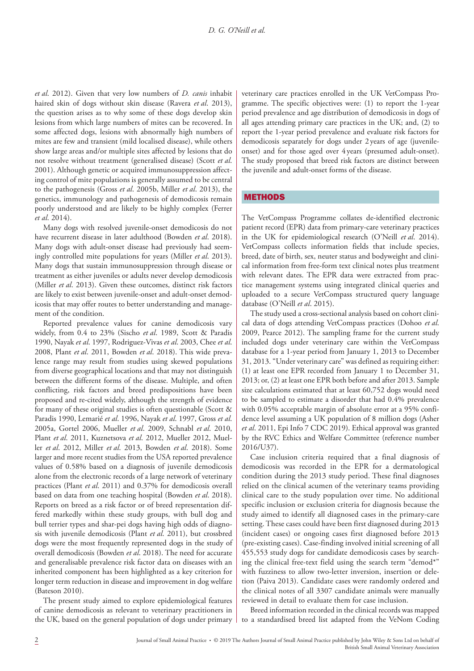*et al*. 2012). Given that very low numbers of *D. canis* inhabit haired skin of dogs without skin disease (Ravera *et al*. 2013), the question arises as to why some of these dogs develop skin lesions from which large numbers of mites can be recovered. In some affected dogs, lesions with abnormally high numbers of mites are few and transient (mild localised disease), while others show large areas and/or multiple sites affected by lesions that do not resolve without treatment (generalised disease) (Scott *et al*. 2001). Although genetic or acquired immunosuppression affecting control of mite populations is generally assumed to be central to the pathogenesis (Gross *et al*. 2005b, Miller *et al*. 2013), the genetics, immunology and pathogenesis of demodicosis remain poorly understood and are likely to be highly complex (Ferrer *et al*. 2014).

Many dogs with resolved juvenile-onset demodicosis do not have recurrent disease in later adulthood (Bowden *et al*. 2018). Many dogs with adult-onset disease had previously had seemingly controlled mite populations for years (Miller *et al*. 2013). Many dogs that sustain immunosuppression through disease or treatment as either juveniles or adults never develop demodicosis (Miller *et al*. 2013). Given these outcomes, distinct risk factors are likely to exist between juvenile-onset and adult-onset demodicosis that may offer routes to better understanding and management of the condition.

Reported prevalence values for canine demodicosis vary widely, from 0.4 to 23% (Sischo *et al*. 1989, Scott & Paradis 1990, Nayak *et al*. 1997, Rodriguez-Vivas *et al*. 2003, Chee *et al*. 2008, Plant *et al*. 2011, Bowden *et al*. 2018). This wide prevalence range may result from studies using skewed populations from diverse geographical locations and that may not distinguish between the different forms of the disease. Multiple, and often conflicting, risk factors and breed predispositions have been proposed and re-cited widely, although the strength of evidence for many of these original studies is often questionable (Scott & Paradis 1990, Lemarié *et al*. 1996, Nayak *et al*. 1997, Gross *et al*. 2005a, Gortel 2006, Mueller *et al*. 2009, Schnabl *et al*. 2010, Plant *et al*. 2011, Kuznetsova *et al*. 2012, Mueller 2012, Mueller *et al*. 2012, Miller *et al*. 2013, Bowden *et al*. 2018). Some larger and more recent studies from the USA reported prevalence values of 0.58% based on a diagnosis of juvenile demodicosis alone from the electronic records of a large network of veterinary practices (Plant *et al*. 2011) and 0.37% for demodicosis overall based on data from one teaching hospital (Bowden *et al*. 2018). Reports on breed as a risk factor or of breed representation differed markedly within these study groups, with bull dog and bull terrier types and shar-pei dogs having high odds of diagnosis with juvenile demodicosis (Plant *et al*. 2011), but crossbred dogs were the most frequently represented dogs in the study of overall demodicosis (Bowden *et al*. 2018). The need for accurate and generalisable prevalence risk factor data on diseases with an inherited component has been highlighted as a key criterion for longer term reduction in disease and improvement in dog welfare (Bateson 2010).

The present study aimed to explore epidemiological features of canine demodicosis as relevant to veterinary practitioners in the UK, based on the general population of dogs under primary veterinary care practices enrolled in the UK VetCompass Programme. The specific objectives were: (1) to report the 1-year period prevalence and age distribution of demodicosis in dogs of all ages attending primary care practices in the UK; and, (2) to report the 1-year period prevalence and evaluate risk factors for demodicosis separately for dogs under 2 years of age (juvenileonset) and for those aged over 4 years (presumed adult-onset). The study proposed that breed risk factors are distinct between the juvenile and adult-onset forms of the disease.

## **METHODS**

The VetCompass Programme collates de-identified electronic patient record (EPR) data from primary-care veterinary practices in the UK for epidemiological research (O'Neill *et al*. 2014). VetCompass collects information fields that include species, breed, date of birth, sex, neuter status and bodyweight and clinical information from free-form text clinical notes plus treatment with relevant dates. The EPR data were extracted from practice management systems using integrated clinical queries and uploaded to a secure VetCompass structured query language database (O'Neill *et al*. 2015).

The study used a cross-sectional analysis based on cohort clinical data of dogs attending VetCompass practices (Dohoo *et al*. 2009, Pearce 2012). The sampling frame for the current study included dogs under veterinary care within the VetCompass database for a 1-year period from January 1, 2013 to December 31, 2013. "Under veterinary care" was defined as requiring either: (1) at least one EPR recorded from January 1 to December 31, 2013; or, (2) at least one EPR both before and after 2013. Sample size calculations estimated that at least 60,752 dogs would need to be sampled to estimate a disorder that had 0.4% prevalence with 0.05% acceptable margin of absolute error at a 95% confidence level assuming a UK population of 8 million dogs (Asher *et al*. 2011, Epi Info 7 CDC 2019). Ethical approval was granted by the RVC Ethics and Welfare Committee (reference number 2016/U37).

Case inclusion criteria required that a final diagnosis of demodicosis was recorded in the EPR for a dermatological condition during the 2013 study period. These final diagnoses relied on the clinical acumen of the veterinary teams providing clinical care to the study population over time. No additional specific inclusion or exclusion criteria for diagnosis because the study aimed to identify all diagnosed cases in the primary-care setting. These cases could have been first diagnosed during 2013 (incident cases) or ongoing cases first diagnosed before 2013 (pre-existing cases). Case-finding involved initial screening of all 455,553 study dogs for candidate demodicosis cases by searching the clinical free-text field using the search term "demod\*" with fuzziness to allow two-letter inversion, insertion or deletion (Paiva 2013). Candidate cases were randomly ordered and the clinical notes of all 3307 candidate animals were manually reviewed in detail to evaluate them for case inclusion.

Breed information recorded in the clinical records was mapped to a standardised breed list adapted from the VeNom Coding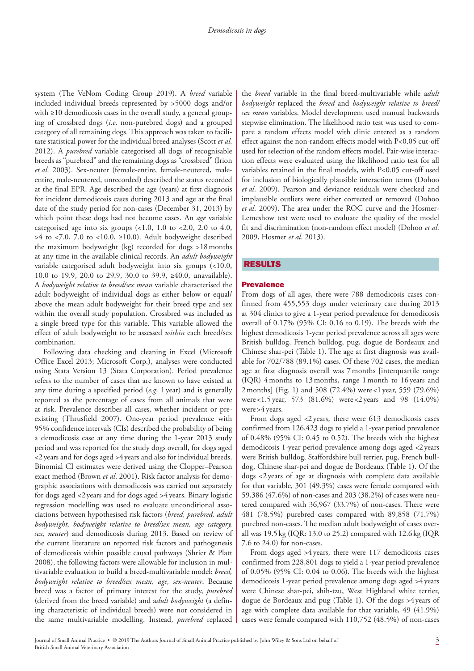system (The VeNom Coding Group 2019). A *breed* variable included individual breeds represented by >5000 dogs and/or with ≥10 demodicosis cases in the overall study, a general grouping of crossbred dogs (*i.e*. non-purebred dogs) and a grouped category of all remaining dogs. This approach was taken to facilitate statistical power for the individual breed analyses (Scott *et al*. 2012). A *purebred* variable categorised all dogs of recognisable breeds as "purebred" and the remaining dogs as "crossbred" (Irion *et al*. 2003). Sex-neuter (female-entire, female-neutered, maleentire, male-neutered, unrecorded) described the status recorded at the final EPR. Age described the age (years) at first diagnosis for incident demodicosis cases during 2013 and age at the final date of the study period for non-cases (December 31, 2013) by which point these dogs had not become cases. An *age* variable categorised age into six groups  $(1.0, 1.0$  to  $(2.0, 2.0)$  to  $(4.0, 1.0)$  $>4$  to <7.0, 7.0 to <10.0, ≥10.0). Adult bodyweight described the maximum bodyweight (kg) recorded for dogs >18months at any time in the available clinical records. An *adult bodyweight* variable categorised adult bodyweight into six groups (<10.0, 10.0 to 19.9, 20.0 to 29.9, 30.0 to 39.9, ≥40.0, unavailable). A *bodyweight relative to breed/sex mean* variable characterised the adult bodyweight of individual dogs as either below or equal/ above the mean adult bodyweight for their breed type and sex within the overall study population. Crossbred was included as a single breed type for this variable. This variable allowed the effect of adult bodyweight to be assessed *within* each breed/sex combination.

Following data checking and cleaning in Excel (Microsoft Office Excel 2013; Microsoft Corp.), analyses were conducted using Stata Version 13 (Stata Corporation). Period prevalence refers to the number of cases that are known to have existed at any time during a specified period (*e.g*. 1year) and is generally reported as the percentage of cases from all animals that were at risk. Prevalence describes all cases, whether incident or preexisting (Thrusfield 2007). One-year period prevalence with 95% confidence intervals (CIs) described the probability of being a demodicosis case at any time during the 1-year 2013 study period and was reported for the study dogs overall, for dogs aged <2years and for dogs aged >4years and also for individual breeds. Binomial CI estimates were derived using the Clopper–Pearson exact method (Brown *et al*. 2001). Risk factor analysis for demographic associations with demodicosis was carried out separately for dogs aged <2 years and for dogs aged >4 years. Binary logistic regression modelling was used to evaluate unconditional associations between hypothesised risk factors (*breed, purebred, adult bodyweight, bodyweight relative to breed/sex mean, age category, sex, neuter*) and demodicosis during 2013. Based on review of the current literature on reported risk factors and pathogenesis of demodicosis within possible causal pathways (Shrier & Platt 2008), the following factors were allowable for inclusion in multivariable evaluation to build a breed-multivariable model: *breed, bodyweight relative to breed/sex mean, age, sex-neuter*. Because breed was a factor of primary interest for the study, *purebred* (derived from the breed variable) and a*dult bodyweight* (a defining characteristic of individual breeds) were not considered in the same multivariable modelling. Instead, *purebred* replaced the *breed* variable in the final breed-multivariable while a*dult bodyweight* replaced the *breed* and *bodyweight relative to breed/ sex mean* variables. Model development used manual backwards stepwise elimination. The likelihood ratio test was used to compare a random effects model with clinic entered as a random effect against the non-random effects model with P<0.05 cut-off used for selection of the random effects model. Pair-wise interaction effects were evaluated using the likelihood ratio test for all variables retained in the final models, with P<0.05 cut-off used for inclusion of biologically plausible interaction terms (Dohoo *et al*. 2009). Pearson and deviance residuals were checked and implausible outliers were either corrected or removed (Dohoo *et al*. 2009). The area under the ROC curve and the Hosmer-Lemeshow test were used to evaluate the quality of the model fit and discrimination (non-random effect model) (Dohoo *et al*. 2009, Hosmer *et al*. 2013).

## RESULTS

#### **Prevalence**

From dogs of all ages, there were 788 demodicosis cases confirmed from 455,553 dogs under veterinary care during 2013 at 304 clinics to give a 1-year period prevalence for demodicosis overall of 0.17% (95% CI: 0.16 to 0.19). The breeds with the highest demodicosis 1-year period prevalence across all ages were British bulldog, French bulldog, pug, dogue de Bordeaux and Chinese shar-pei (Table 1). The age at first diagnosis was available for 702/788 (89.1%) cases. Of these 702 cases, the median age at first diagnosis overall was 7months [interquartile range (IQR) 4months to 13months, range 1month to 16 years and 2months] (Fig. 1) and 508 (72.4%) were <1 year, 559 (79.6%) were <1.5 year, 573 (81.6%) were <2 years and 98 (14.0%) were >4 years.

From dogs aged <2years, there were 613 demodicosis cases confirmed from 126,423 dogs to yield a 1-year period prevalence of 0.48% (95% CI: 0.45 to 0.52). The breeds with the highest demodicosis 1-year period prevalence among dogs aged <2 years were British bulldog, Staffordshire bull terrier, pug, French bulldog, Chinese shar-pei and dogue de Bordeaux (Table 1). Of the dogs <2 years of age at diagnosis with complete data available for that variable, 301 (49.3%) cases were female compared with 59,386 (47.6%) of non-cases and 203 (38.2%) of cases were neutered compared with 36,967 (33.7%) of non-cases. There were 481 (78.5%) purebred cases compared with 89,858 (71.7%) purebred non-cases. The median adult bodyweight of cases overall was 19.5 kg (IQR: 13.0 to 25.2) compared with 12.6kg (IQR 7.6 to 24.0) for non-cases.

From dogs aged >4years, there were 117 demodicosis cases confirmed from 228,801 dogs to yield a 1-year period prevalence of 0.05% (95% CI: 0.04 to 0.06). The breeds with the highest demodicosis 1-year period prevalence among dogs aged >4 years were Chinese shar-pei, shih-tzu, West Highland white terrier, dogue de Bordeaux and pug (Table 1). Of the dogs >4 years of age with complete data available for that variable, 49 (41.9%) cases were female compared with 110,752 (48.5%) of non-cases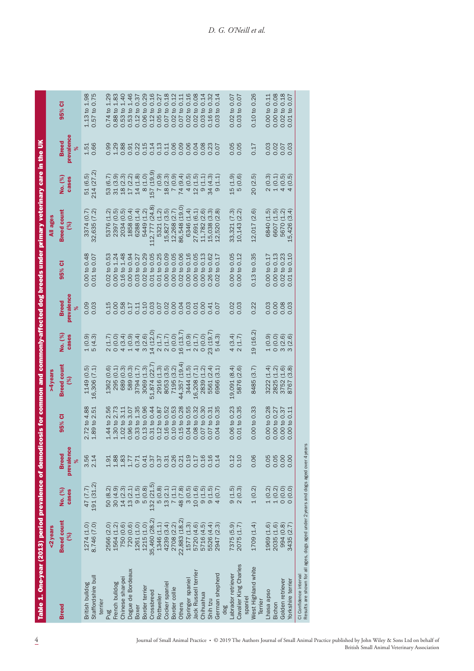| Table 1. One-year (2013) period prevalence of demodicosis for common and commonly-affected dog breeds under primary veterinary care in the UK |                           |                                                       |                                 |                                                                                                                                                                                                            |                                        |                                        |                                 |                                                                                                                                                 |                                            |                                                                       |                                 |                                                                                                                                                                                                                                                              |
|-----------------------------------------------------------------------------------------------------------------------------------------------|---------------------------|-------------------------------------------------------|---------------------------------|------------------------------------------------------------------------------------------------------------------------------------------------------------------------------------------------------------|----------------------------------------|----------------------------------------|---------------------------------|-------------------------------------------------------------------------------------------------------------------------------------------------|--------------------------------------------|-----------------------------------------------------------------------|---------------------------------|--------------------------------------------------------------------------------------------------------------------------------------------------------------------------------------------------------------------------------------------------------------|
|                                                                                                                                               | <2years                   |                                                       |                                 |                                                                                                                                                                                                            | $4$ years                              |                                        |                                 |                                                                                                                                                 | All ages                                   |                                                                       |                                 |                                                                                                                                                                                                                                                              |
| <b>Breed</b>                                                                                                                                  | <b>Breed count</b><br>(%) | No. (%)<br>cases                                      | prevalence<br><b>Breed</b><br>ৡ | 95% CI                                                                                                                                                                                                     | <b>Breed count</b><br>(%)              | No. (%)<br>cases                       | prevalence<br><b>Breed</b><br>೫ | 95% CI                                                                                                                                          | <b>Breed count</b><br>(%)                  | No. (%)<br>cases                                                      | prevalence<br><b>Breed</b><br>ৡ | 95% CI                                                                                                                                                                                                                                                       |
| Staffordshire bull<br>British bulldog                                                                                                         | 8.746 (7.0)<br>1274 (1.0) | 191 (31.2)<br>47 (7.7)                                | 3.56<br>2.14                    | 2.72 to 4.88<br>1.89 to 2.51                                                                                                                                                                               | $1149(0.5)$<br>$16,306(7.1)$           | $1(0.9)$<br>$5(4.3)$                   | 0.09<br>0.03                    | 0.00 to 0.48<br>0.01 to 0.07                                                                                                                    | 32,635 (7.2)<br>3374 (0.7)                 | 214 (27.2)<br>51(6.5)                                                 | 0.66<br>1.51                    | 1.13 to 1.98<br>0.57 to 0.75                                                                                                                                                                                                                                 |
| terrier                                                                                                                                       |                           |                                                       |                                 |                                                                                                                                                                                                            |                                        |                                        |                                 |                                                                                                                                                 |                                            |                                                                       |                                 |                                                                                                                                                                                                                                                              |
| Pug                                                                                                                                           | 2566 (2.0)                | 50 (8.2)                                              | 1.91                            | 1.44 to 2.56                                                                                                                                                                                               | 1362 (0.6)                             |                                        | 0.15                            | 0.02 to 0.53                                                                                                                                    | 5376                                       | 53 (6.7)                                                              | 0.99                            | $0.74 \text{ to } 1.29$                                                                                                                                                                                                                                      |
| French bulldog                                                                                                                                | 1564 (1.2)                | $\begin{array}{c} 30\ (4.9) \\ 14\ (2.3) \end{array}$ | 1.88                            | 1.30 to 2.73                                                                                                                                                                                               | 295 (0.1)                              |                                        | 0.00                            | 0.00 to 1.24                                                                                                                                    | 2397                                       |                                                                       | 1.29                            | 0.88 to 1.83                                                                                                                                                                                                                                                 |
| Dogue de Bordeaux<br>Chinese shar-pei                                                                                                         | 750 (0.6)<br>720 (0.6)    | 13(2.1)                                               | 1.83<br>1.77                    | 3.07<br>3.11<br>1.02 <sub>to</sub><br>$0.96$ to                                                                                                                                                            | (0.3)<br>(0.3)<br>589<br>689           |                                        | 0.58<br>0.17                    | 1.48<br>0.00 to 0.94<br>$0.16$ to                                                                                                               | 1858<br>2034                               | $\begin{array}{c} 31 \ (3.9) \\ 18 \ (2.3) \\ 17 \ (2.2) \end{array}$ | 0.88<br>0.91                    | $\begin{array}{l} 0.53 \text{ to } 1.40 \\ 0.53 \text{ to } 1.46 \\ 0.53 \text{ to } 0.37 \\ 0.12 \text{ to } 0.29 \\ 0.06 \text{ to } 0.20 \\ 0.05 \text{ to } 0.77 \\ 0.05 \text{ to } 0.27 \\ 0.07 \text{ to } 0.12 \\ 0.00 \text{ to } 0.12 \end{array}$ |
| <b>Boxer</b>                                                                                                                                  | 1261 (1.0)                |                                                       | 0.71                            | 1.35<br>$0.33$ to $1$                                                                                                                                                                                      | 3794 (1.7)                             |                                        | 0.11                            | 0.03 to 0.27                                                                                                                                    |                                            | 14(1.8)                                                               | 0.22                            |                                                                                                                                                                                                                                                              |
| Border terrier                                                                                                                                | 1215(1.0)                 | $9(1.5)$<br>$5(0.8)$                                  | 0.41                            | $\begin{array}{c} 0.13 \text{ to } 0.96 \\ 0.31 \text{ to } 0.44 \\ 0.12 \text{ to } 0.87 \\ 0.12 \text{ to } 0.87 \\ 0.10 \text{ to } 0.52 \\ 0.10 \text{ to } 0.53 \\ 0.15 \text{ to } 0.28 \end{array}$ | 3069 (1.3)                             |                                        | 0.10                            | $\begin{array}{c} 0.02 \; \text{to} \; 0.29 \\ 0.01 \; \text{to} \; 0.05 \\ 0.01 \; \text{to} \; 0.25 \\ 0.00 \; \text{to} \; 0.09 \end{array}$ | 6288 (1.4)<br>5449 (1.2)                   | 8(1.0)                                                                | 0.15                            |                                                                                                                                                                                                                                                              |
| Crossbreed                                                                                                                                    | 35,460 (28.2)             | 132 (21.5)                                            | 0.37                            |                                                                                                                                                                                                            | 51,874 (22.7                           |                                        | 0.03                            |                                                                                                                                                 | 112,777 (24.8)                             | 157 (19.9)                                                            |                                 |                                                                                                                                                                                                                                                              |
| Rottweiler                                                                                                                                    | 1346 (1.1)                |                                                       | 0.37                            |                                                                                                                                                                                                            | 2916 (1.3)<br>8053 (3.5)<br>7195 (3.2) |                                        |                                 |                                                                                                                                                 | 5321 (1.2)<br>15,827 (3.5)<br>12,268 (2.7) |                                                                       |                                 |                                                                                                                                                                                                                                                              |
| Cocker spaniel                                                                                                                                | 4239 (3.4)                |                                                       | $0.31$<br>$0.26$                |                                                                                                                                                                                                            |                                        |                                        |                                 |                                                                                                                                                 |                                            |                                                                       |                                 |                                                                                                                                                                                                                                                              |
| Border collie                                                                                                                                 | 2708 (2.2)                |                                                       |                                 |                                                                                                                                                                                                            |                                        |                                        |                                 | 0.00 to 0.05                                                                                                                                    |                                            |                                                                       |                                 |                                                                                                                                                                                                                                                              |
| <b>Others</b>                                                                                                                                 | 22,883 (18.2)             |                                                       | 0.21                            |                                                                                                                                                                                                            | 44,357 (19.4                           |                                        |                                 | 0.02 to 0.06                                                                                                                                    | (19.0)<br>86,548                           |                                                                       |                                 | 0.11<br>0.07 to 0                                                                                                                                                                                                                                            |
| Springer spaniel                                                                                                                              | 1577(1.3)                 |                                                       | 0.19                            | 0.55<br>0.04 to (                                                                                                                                                                                          | $3444(1.5)$<br>16,208 $(7.1)$          |                                        |                                 | 0.00 to 0.16                                                                                                                                    | (1.4)<br>6346                              |                                                                       |                                 | 0.16<br>$0.02$ to $0$                                                                                                                                                                                                                                        |
| Jack Russell terrier                                                                                                                          | 5720 (4.6)                |                                                       | 0.17                            | 0.32<br>0.08 <sub>to</sub>                                                                                                                                                                                 |                                        |                                        | 0.01                            | 0.00 to 0.05                                                                                                                                    | (6.1)<br>27,691                            |                                                                       |                                 | 0.08<br>$0.02$ to                                                                                                                                                                                                                                            |
| Chihuahua                                                                                                                                     | 5716 (4.5)                |                                                       | 0.16                            | 0.30<br>0.07 to                                                                                                                                                                                            | (1.2)<br>2839                          |                                        | 0.00                            | 0.13<br>0.00 to                                                                                                                                 | (2.6)<br>11,782                            |                                                                       |                                 | 0.14<br>0.03 to                                                                                                                                                                                                                                              |
| Shih tzu                                                                                                                                      | 5526 (4.4)                |                                                       | 0.16                            | 0.31<br>$0.07$ to                                                                                                                                                                                          | (2.4)<br>5561                          |                                        | 0.41                            | 0.62<br>$0.26$ to                                                                                                                               | $(3.3)$<br>$(2.8)$<br>15,038               |                                                                       |                                 | 0.32<br>0.16 to                                                                                                                                                                                                                                              |
| German shepherd<br>dog                                                                                                                        | 2947 (2.3)                |                                                       | 0.14                            | 0.35<br>$\mathbf{c}$<br>0.04                                                                                                                                                                               | (3.1)<br>6966                          |                                        | 0.07                            | 0.17<br>$\mathbf{e}$<br>0.02                                                                                                                    | 520<br>12,                                 |                                                                       |                                 | 0.14<br>$\overline{c}$<br>0.03                                                                                                                                                                                                                               |
| Labrador retriever                                                                                                                            | 7375 (5.9)                |                                                       | 0.12                            | 0.06 to 0.23                                                                                                                                                                                               | 19,091 (8.4)                           |                                        | 0.02                            | 0.00 to 0.05                                                                                                                                    |                                            |                                                                       |                                 | 0.02 to 0.07                                                                                                                                                                                                                                                 |
| Cavalier King Charles                                                                                                                         | 2075(1.7)                 | $9(1.5)$<br>$2(0.3)$                                  | 0.10                            | 0.35<br>$\mathbf{a}$<br>0.01                                                                                                                                                                               | (2.6)<br>5876                          | $4 (3.4)$<br>2(1.7)                    | 0.03                            | 0.12<br>0.00 to                                                                                                                                 | 33,321 (7.3)<br>10,143 (2.2)               | $15(1.9)$<br>$5(0.6)$                                                 | $0.05$<br>$0.0$                 | 0.07<br>$0.03$ to                                                                                                                                                                                                                                            |
| spaniel                                                                                                                                       |                           |                                                       |                                 |                                                                                                                                                                                                            |                                        |                                        |                                 |                                                                                                                                                 |                                            |                                                                       |                                 |                                                                                                                                                                                                                                                              |
| West Highland white<br>Terrier                                                                                                                | 1709 (1.4)                | 1(0.2)                                                | 0.06                            | 0.00 to 0.33                                                                                                                                                                                               | 8485 (3.7)                             | 19 (16.2)                              | 0.22                            | $0.13$ to $0.35$                                                                                                                                | 12,017 (2.6)                               | 20(2.5)                                                               | 0.17                            | 0.10 to 0.26                                                                                                                                                                                                                                                 |
| Lhasa apso                                                                                                                                    | 1969 (1.6)                |                                                       | 0.05                            | 0.00 to 0.28                                                                                                                                                                                               | 3222 (1.4)                             |                                        | 0.03                            | 0.00 to 0.17                                                                                                                                    | 6840 (1.5)                                 |                                                                       |                                 | 0.00 to 0.11                                                                                                                                                                                                                                                 |
| Bichon                                                                                                                                        | 2035 (1.6)                |                                                       | 0.05                            | 0.00 to 0.27                                                                                                                                                                                               | 2825 (1.2)<br>3752 (1.6)<br>8767 (3.8) | ดิ อิ ดิ ดิ<br>0 0 0 0<br>1 0 ท ท<br>3 | 0.00                            | 0.00 to 0.13                                                                                                                                    | 6607 (1.5)<br>5670 (1.2)<br>5,426 (3.4)    | 2 1 4 4 4<br>0 1 0 1 0 1<br>0 1 0 1 0<br>4 4 4 4                      |                                 | $\begin{array}{c} 0.00 \; \mathrm{to} \; 0.08 \\ 0.02 \; \mathrm{to} \; 0.18 \\ 0.01 \; \mathrm{to} \; 0.07 \\ \end{array}$                                                                                                                                  |
| Golden retriever                                                                                                                              | 994 (0.8)<br>3435 (2.7)   |                                                       | 0.00                            | $0.00 t0 0.37$ 0.00 to 0.37                                                                                                                                                                                |                                        |                                        | 0.08                            | $0.02$ to $0.23$<br>$0.01$ to $0.10$                                                                                                            |                                            |                                                                       |                                 |                                                                                                                                                                                                                                                              |
| Yorkshire terrier                                                                                                                             |                           |                                                       | 0.00                            |                                                                                                                                                                                                            |                                        |                                        | 0.03                            | 0.10                                                                                                                                            | 15,426                                     |                                                                       |                                 | $\overline{10}$                                                                                                                                                                                                                                              |
| Results are shown for all ages, dogs aged under 2 years and dogs aged over 4 yea<br>CI Confidence interval                                    |                           |                                                       |                                 |                                                                                                                                                                                                            |                                        |                                        |                                 |                                                                                                                                                 |                                            |                                                                       |                                 |                                                                                                                                                                                                                                                              |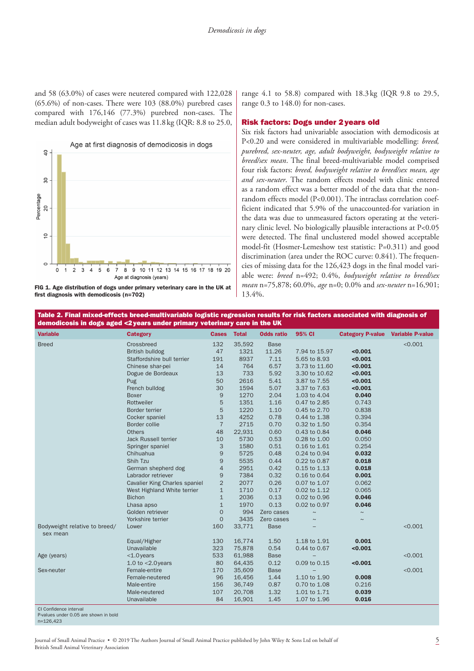and 58 (63.0%) of cases were neutered compared with 122,028 (65.6%) of non-cases. There were 103 (88.0%) purebred cases compared with 176,146 (77.3%) purebred non-cases. The median adult bodyweight of cases was 11.8kg (IQR: 8.8 to 25.0,



FIG 1. Age distribution of dogs under primary veterinary care in the UK at first diagnosis with demodicosis (n=702)

range 4.1 to 58.8) compared with 18.3kg (IQR 9.8 to 29.5, range 0.3 to 148.0) for non-cases.

#### Risk factors: Dogs under 2years old

Six risk factors had univariable association with demodicosis at P<0.20 and were considered in multivariable modelling: *breed, purebred, sex-neuter, age, adult bodyweight, bodyweight relative to breed/sex mean*. The final breed-multivariable model comprised four risk factors: *breed, bodyweight relative to breed/sex mean, age and sex-neuter*. The random effects model with clinic entered as a random effect was a better model of the data that the nonrandom effects model (P<0.001). The intraclass correlation coefficient indicated that 5.9% of the unaccounted-for variation in the data was due to unmeasured factors operating at the veterinary clinic level. No biologically plausible interactions at P<0.05 were detected. The final unclustered model showed acceptable model-fit (Hosmer-Lemeshow test statistic: P=0.311) and good discrimination (area under the ROC curve: 0.841). The frequencies of missing data for the 126,423 dogs in the final model variable were: *breed* n=492; 0.4%, *bodyweight relative to breed/sex mean* n=75,878; 60.0%, *age* n=0; 0.0% and *sex-neuter* n=16,901; 13.4%.

Table 2. Final mixed-effects breed-multivariable logistic regression results for risk factors associated with diagnosis of demodicosis in dogs aged <2years under primary veterinary care in the UK

| <b>Variable</b>                                                 | <b>Category</b>                      | <b>Cases</b>   | <b>Total</b> | <b>Odds ratio</b> | 95% CI        | <b>Category P-value</b> | <b>Variable P-value</b> |
|-----------------------------------------------------------------|--------------------------------------|----------------|--------------|-------------------|---------------|-------------------------|-------------------------|
| <b>Breed</b>                                                    | Crossbreed                           | 132            | 35,592       | <b>Base</b>       |               |                         | < 0.001                 |
|                                                                 | <b>British bulldog</b>               | 47             | 1321         | 11.26             | 7.94 to 15.97 | < 0.001                 |                         |
|                                                                 | Staffordshire bull terrier           | 191            | 8937         | 7.11              | 5.65 to 8.93  | < 0.001                 |                         |
|                                                                 | Chinese shar-pei                     | 14             | 764          | 6.57              | 3.73 to 11.60 | < 0.001                 |                         |
|                                                                 | Dogue de Bordeaux                    | 13             | 733          | 5.92              | 3.30 to 10.62 | < 0.001                 |                         |
|                                                                 | Pug                                  | 50             | 2616         | 5.41              | 3.87 to 7.55  | < 0.001                 |                         |
|                                                                 | French bulldog                       | 30             | 1594         | 5.07              | 3.37 to 7.63  | < 0.001                 |                         |
|                                                                 | <b>Boxer</b>                         | 9              | 1270         | 2.04              | 1.03 to 4.04  | 0.040                   |                         |
|                                                                 | Rottweiler                           | 5              | 1351         | 1.16              | 0.47 to 2.85  | 0.743                   |                         |
|                                                                 | Border terrier                       | 5              | 1220         | 1.10              | 0.45 to 2.70  | 0.838                   |                         |
|                                                                 | Cocker spaniel                       | 13             | 4252         | 0.78              | 0.44 to 1.38  | 0.394                   |                         |
|                                                                 | Border collie                        | $\overline{7}$ | 2715         | 0.70              | 0.32 to 1.50  | 0.354                   |                         |
|                                                                 | <b>Others</b>                        | 48             | 22,931       | 0.60              | 0.43 to 0.84  | 0.046                   |                         |
|                                                                 | Jack Russell terrier                 | 10             | 5730         | 0.53              | 0.28 to 1.00  | 0.050                   |                         |
|                                                                 | Springer spaniel                     | 3              | 1580         | 0.51              | 0.16 to 1.61  | 0.254                   |                         |
|                                                                 | Chihuahua                            | 9              | 5725         | 0.48              | 0.24 to 0.94  | 0.032                   |                         |
|                                                                 | Shih Tzu                             | 9              | 5535         | 0.44              | 0.22 to 0.87  | 0.018                   |                         |
|                                                                 | German shepherd dog                  | $\overline{4}$ | 2951         | 0.42              | 0.15 to 1.13  | 0.018                   |                         |
|                                                                 | Labrador retriever                   | 9              | 7384         | 0.32              | 0.16 to 0.64  | 0.001                   |                         |
|                                                                 | <b>Cavalier King Charles spaniel</b> | $\overline{2}$ | 2077         | 0.26              | 0.07 to 1.07  | 0.062                   |                         |
|                                                                 | West Highland White terrier          | $\mathbf{1}$   | 1710         | 0.17              | 0.02 to 1.12  | 0.065                   |                         |
|                                                                 | <b>Bichon</b>                        | $\mathbf{1}$   | 2036         | 0.13              | 0.02 to 0.96  | 0.046                   |                         |
|                                                                 | Lhasa apso                           | $\mathbf{1}$   | 1970         | 0.13              | 0.02 to 0.97  | 0.046                   |                         |
|                                                                 | Golden retriever                     | $\mathbf{O}$   | 994          | Zero cases        | $\sim$        | $\sim$                  |                         |
|                                                                 | Yorkshire terrier                    | $\mathbf{O}$   | 3435         | Zero cases        | $\sim$        | $\sim$                  |                         |
| Bodyweight relative to breed/<br>sex mean                       | Lower                                | 160            | 33,771       | <b>Base</b>       |               |                         | < 0.001                 |
|                                                                 | Equal/Higher                         | 130            | 16,774       | 1.50              | 1.18 to 1.91  | 0.001                   |                         |
|                                                                 | Unavailable                          | 323            | 75,878       | 0.54              | 0.44 to 0.67  | < 0.001                 |                         |
| Age (years)                                                     | $<$ 1.0 years                        | 533            | 61,988       | <b>Base</b>       |               |                         | < 0.001                 |
|                                                                 | 1.0 to $<$ 2.0 years                 | 80             | 64,435       | 0.12              | 0.09 to 0.15  | < 0.001                 |                         |
| Sex-neuter                                                      | Female-entire                        | 170            | 35,609       | <b>Base</b>       |               |                         | < 0.001                 |
|                                                                 | Female-neutered                      | 96             | 16,456       | 1.44              | 1.10 to 1.90  | 0.008                   |                         |
|                                                                 | Male-entire                          | 156            | 36,749       | 0.87              | 0.70 to 1.08  | 0.216                   |                         |
|                                                                 | Male-neutered                        | 107            | 20,708       | 1.32              | 1.01 to 1.71  | 0.039                   |                         |
|                                                                 | Unavailable                          | 84             | 16,901       | 1.45              | 1.07 to 1.96  | 0.016                   |                         |
| CI Confidence interval<br>P-values under 0.05 are shown in bold |                                      |                |              |                   |               |                         |                         |

n=126,423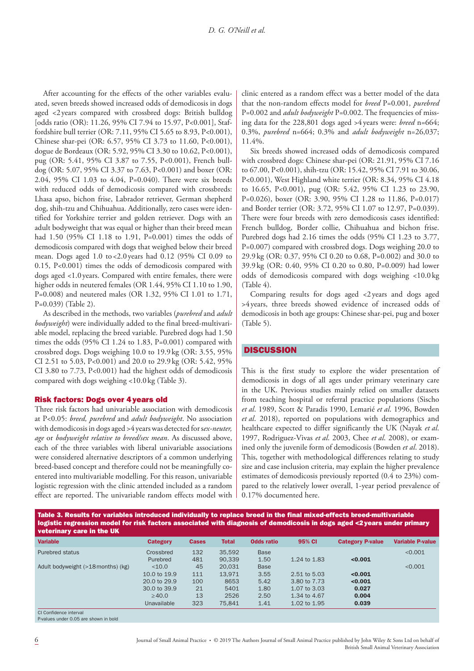After accounting for the effects of the other variables evaluated, seven breeds showed increased odds of demodicosis in dogs aged <2years compared with crossbred dogs: British bulldog [odds ratio (OR): 11.26, 95% CI 7.94 to 15.97, P<0.001], Staffordshire bull terrier (OR: 7.11, 95% CI 5.65 to 8.93, P<0.001), Chinese shar-pei (OR: 6.57, 95% CI 3.73 to 11.60, P<0.001), dogue de Bordeaux (OR: 5.92, 95% CI 3.30 to 10.62, P<0.001), pug (OR: 5.41, 95% CI 3.87 to 7.55, P<0.001), French bulldog (OR: 5.07, 95% CI 3.37 to 7.63, P<0.001) and boxer (OR: 2.04, 95% CI 1.03 to 4.04, P=0.040). There were six breeds with reduced odds of demodicosis compared with crossbreds: Lhasa apso, bichon frise, Labrador retriever, German shepherd dog, shih-tzu and Chihuahua. Additionally, zero cases were identified for Yorkshire terrier and golden retriever. Dogs with an adult bodyweight that was equal or higher than their breed mean had 1.50 (95% CI 1.18 to 1.91, P=0.001) times the odds of demodicosis compared with dogs that weighed below their breed mean. Dogs aged 1.0 to <2.0 years had 0.12 (95% CI 0.09 to 0.15, P<0.001) times the odds of demodicosis compared with dogs aged <1.0years. Compared with entire females, there were higher odds in neutered females (OR 1.44, 95% CI 1.10 to 1.90, P=0.008) and neutered males (OR 1.32, 95% CI 1.01 to 1.71, P=0.039) (Table 2).

As described in the methods, two variables (*purebred* and *adult bodyweight*) were individually added to the final breed-multivariable model, replacing the breed variable. Purebred dogs had 1.50 times the odds (95% CI 1.24 to 1.83, P=0.001) compared with crossbred dogs. Dogs weighing 10.0 to 19.9kg (OR: 3.55, 95% CI 2.51 to 5.03, P<0.001) and 20.0 to 29.9 kg (OR: 5.42, 95% CI 3.80 to 7.73, P<0.001) had the highest odds of demodicosis compared with dogs weighing <10.0 kg (Table 3).

## Risk factors: Dogs over 4years old

Three risk factors had univariable association with demodicosis at P<0.05: *breed, purebred* and *adult bodyweight*. No association with demodicosis in dogs aged >4 years was detected for s*ex-neuter, age* or *bodyweight relative to breed/sex mean*. As discussed above, each of the three variables with liberal univariable associations were considered alternative descriptors of a common underlying breed-based concept and therefore could not be meaningfully coentered into multivariable modelling. For this reason, univariable logistic regression with the clinic attended included as a random effect are reported. The univariable random effects model with clinic entered as a random effect was a better model of the data that the non-random effects model for *breed* P=0.001*, purebred* P=0.002 and *adult bodyweight* P=0.002. The frequencies of missing data for the 228,801 dogs aged >4 years were: *breed* n=664; 0.3%, *purebred* n=664; 0.3% and *adult bodyweight* n=26,037; 11.4%.

Six breeds showed increased odds of demodicosis compared with crossbred dogs: Chinese shar-pei (OR: 21.91, 95% CI 7.16 to 67.00, P<0.001), shih-tzu (OR: 15.42, 95% CI 7.91 to 30.06, P<0.001), West Highland white terrier (OR: 8.34, 95% CI 4.18 to 16.65, P<0.001), pug (OR: 5.42, 95% CI 1.23 to 23.90, P=0.026), boxer (OR: 3.90, 95% CI 1.28 to 11.86, P=0.017) and Border terrier (OR: 3.72, 95% CI 1.07 to 12.97, P=0.039). There were four breeds with zero demodicosis cases identified: French bulldog, Border collie, Chihuahua and bichon frise. Purebred dogs had 2.16 times the odds (95% CI 1.23 to 3.77, P=0.007) compared with crossbred dogs. Dogs weighing 20.0 to 29.9kg (OR: 0.37, 95% CI 0.20 to 0.68, P=0.002) and 30.0 to 39.9kg (OR: 0.40, 95% CI 0.20 to 0.80, P=0.009) had lower odds of demodicosis compared with dogs weighing <10.0 kg (Table 4).

Comparing results for dogs aged <2years and dogs aged >4 years, three breeds showed evidence of increased odds of demodicosis in both age groups: Chinese shar-pei, pug and boxer (Table 5).

## **DISCUSSION**

This is the first study to explore the wider presentation of demodicosis in dogs of all ages under primary veterinary care in the UK. Previous studies mainly relied on smaller datasets from teaching hospital or referral practice populations (Sischo *et al*. 1989, Scott & Paradis 1990, Lemarié *et al*. 1996, Bowden *et al*. 2018), reported on populations with demographics and healthcare expected to differ significantly the UK (Nayak *et al*. 1997, Rodriguez-Vivas *et al*. 2003, Chee *et al*. 2008), or examined only the juvenile form of demodicosis (Bowden *et al*. 2018). This, together with methodological differences relating to study size and case inclusion criteria, may explain the higher prevalence estimates of demodicosis previously reported (0.4 to 23%) compared to the relatively lower overall, 1-year period prevalence of 0.17% documented here.

Table 3. Results for variables introduced individually to replace breed in the final mixed-effects breed-multivariable logistic regression model for risk factors associated with diagnosis of demodicosis in dogs aged <2 years under primary veterinary care in the UK

| <b>Variable</b>                    | <b>Category</b> | <b>Cases</b> | <b>Total</b> | <b>Odds ratio</b> | 95% CI       | <b>Category P-value</b> | <b>Variable P-value</b> |
|------------------------------------|-----------------|--------------|--------------|-------------------|--------------|-------------------------|-------------------------|
| <b>Purebred status</b>             | Crossbred       | 132          | 35.592       | <b>Base</b>       |              |                         | < 0.001                 |
|                                    | Purebred        | 481          | 90.339       | 1.50              | 1.24 to 1.83 | < 0.001                 |                         |
| Adult bodyweight (>18 months) (kg) | $<$ 10.0        | 45           | 20.031       | <b>Base</b>       |              |                         | < 0.001                 |
|                                    | 10.0 to 19.9    | 111          | 13.971       | 3.55              | 2.51 to 5.03 | < 0.001                 |                         |
|                                    | 20.0 to 29.9    | 100          | 8653         | 5.42              | 3.80 to 7.73 | < 0.001                 |                         |
|                                    | 30.0 to 39.9    | 21           | 5401         | 1.80              | 1.07 to 3.03 | 0.027                   |                         |
|                                    | $\geq 40.0$     | 13           | 2526         | 2.50              | 1.34 to 4.67 | 0.004                   |                         |
|                                    | Unavailable     | 323          | 75.841       | 1.41              | 1.02 to 1.95 | 0.039                   |                         |
| CLConfidence interval              |                 |              |              |                   |              |                         |                         |

CI Confidence interval P-values under 0.05 are shown in bold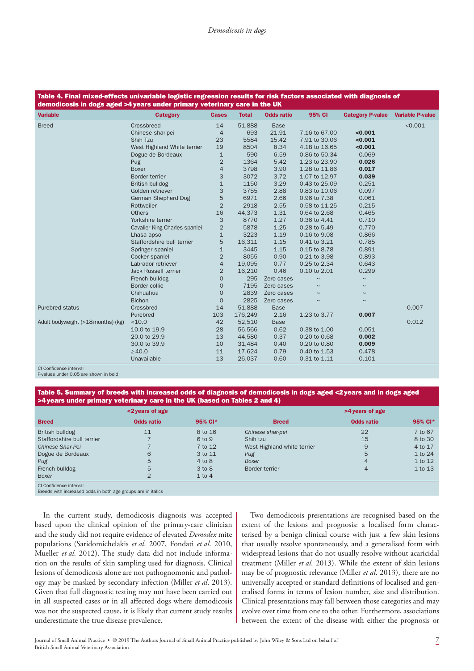| <b>Variable</b>                    | <b>Category</b>                      | <b>Cases</b>   | <b>Total</b> | <b>Odds ratio</b> | 95% CI        | <b>Category P-value</b> | <b>Variable P-value</b> |
|------------------------------------|--------------------------------------|----------------|--------------|-------------------|---------------|-------------------------|-------------------------|
| <b>Breed</b>                       | Crossbreed                           | 14             | 51,888       | <b>Base</b>       |               |                         | < 0.001                 |
|                                    | Chinese shar-pei                     | $\overline{4}$ | 693          | 21.91             | 7.16 to 67.00 | < 0.001                 |                         |
|                                    | Shih Tzu                             | 23             | 5584         | 15.42             | 7.91 to 30.06 | < 0.001                 |                         |
|                                    | West Highland White terrier          | 19             | 8504         | 8.34              | 4.18 to 16.65 | < 0.001                 |                         |
|                                    | Dogue de Bordeaux                    | $\mathbf{1}$   | 590          | 6.59              | 0.86 to 50.34 | 0.069                   |                         |
|                                    | Pug                                  | $\overline{2}$ | 1364         | 5.42              | 1.23 to 23.90 | 0.026                   |                         |
|                                    | <b>Boxer</b>                         | 4              | 3798         | 3.90              | 1.28 to 11.86 | 0.017                   |                         |
|                                    | Border terrier                       | 3              | 3072         | 3.72              | 1.07 to 12.97 | 0.039                   |                         |
|                                    | British bulldog                      | $\mathbf 1$    | 1150         | 3.29              | 0.43 to 25.09 | 0.251                   |                         |
|                                    | Golden retriever                     | 3              | 3755         | 2.88              | 0.83 to 10.06 | 0.097                   |                         |
|                                    | German Shepherd Dog                  | 5              | 6971         | 2.66              | 0.96 to 7.38  | 0.061                   |                         |
|                                    | Rottweiler                           | $\overline{2}$ | 2918         | 2.55              | 0.58 to 11.25 | 0.215                   |                         |
|                                    | <b>Others</b>                        | 16             | 44,373       | 1.31              | 0.64 to 2.68  | 0.465                   |                         |
|                                    | Yorkshire terrier                    | 3              | 8770         | 1.27              | 0.36 to 4.41  | 0.710                   |                         |
|                                    | <b>Cavalier King Charles spaniel</b> | $\overline{2}$ | 5878         | 1.25              | 0.28 to 5.49  | 0.770                   |                         |
|                                    | Lhasa apso                           | $\mathbf{1}$   | 3223         | 1.19              | 0.16 to 9.08  | 0.866                   |                         |
|                                    | Staffordshire bull terrier           | 5              | 16,311       | 1.15              | 0.41 to 3.21  | 0.785                   |                         |
|                                    | Springer spaniel                     | $\mathbf 1$    | 3445         | 1.15              | 0.15 to 8.78  | 0.891                   |                         |
|                                    | Cocker spaniel                       | $\overline{2}$ | 8055         | 0.90              | 0.21 to 3.98  | 0.893                   |                         |
|                                    | Labrador retriever                   | $\overline{4}$ | 19,095       | 0.77              | 0.25 to 2.34  | 0.643                   |                         |
|                                    | Jack Russell terrier                 | $\overline{2}$ | 16,210       | 0.46              | 0.10 to 2.01  | 0.299                   |                         |
|                                    | French bulldog                       | $\mathbf 0$    | 295          | Zero cases        | $\sim$        | $\sim$                  |                         |
|                                    | Border collie                        | $\mathbf 0$    | 7195         | Zero cases        | $\sim$        | $\sim$                  |                         |
|                                    | Chihuahua                            | $\mathbf 0$    | 2839         | Zero cases        |               | $\sim$                  |                         |
|                                    | <b>Bichon</b>                        | $\mathbf 0$    | 2825         | Zero cases        | $\sim$        | $\sim$                  |                         |
| Purebred status                    | Crossbred                            | 14             | 51,888       | <b>Base</b>       |               |                         | 0.007                   |
|                                    | Purebred                             | 103            | 176,249      | 2.16              | 1.23 to 3.77  | 0.007                   |                         |
| Adult bodyweight (>18 months) (kg) | <10.0                                | 42             | 52,510       | <b>Base</b>       |               |                         | 0.012                   |
|                                    | 10.0 to 19.9                         | 28             | 56,566       | 0.62              | 0.38 to 1.00  | 0.051                   |                         |
|                                    | 20.0 to 29.9                         | 13             | 44,580       | 0.37              | 0.20 to 0.68  | 0.002                   |                         |
|                                    | 30.0 to 39.9                         | 10             | 31,484       | 0.40              | 0.20 to 0.80  | 0.009                   |                         |
|                                    | $\geq 40.0$                          | 11             | 17,624       | 0.79              | 0.40 to 1.53  | 0.478                   |                         |
|                                    | Unavailable                          | 13             | 26,037       | 0.60              | 0.31 to 1.11  | 0.101                   |                         |
| CLConfidence interval              |                                      |                |              |                   |               |                         |                         |

P-values under 0.05 are shown in bold

Table 5. Summary of breeds with increased odds of diagnosis of demodicosis in dogs aged <2years and in dogs aged >4years under primary veterinary care in the UK (based on Tables 2 and 4)

|                            | <2 years of age   |            | >4 years of age             |                   |         |  |  |  |
|----------------------------|-------------------|------------|-----------------------------|-------------------|---------|--|--|--|
| <b>Breed</b>               | <b>Odds ratio</b> | 95% CI*    | <b>Breed</b>                | <b>Odds ratio</b> | 95% CI* |  |  |  |
| British bulldog            | 11                | 8 to 16    | Chinese shar-pei            | 22                | 7 to 67 |  |  |  |
| Staffordshire bull terrier |                   | 6 to 9     | Shih tzu                    | 15                | 8 to 30 |  |  |  |
| <b>Chinese Shar-Pei</b>    |                   | 7 to 12    | West Highland white terrier | 9                 | 4 to 17 |  |  |  |
| Dogue de Bordeaux          | 6                 | 3 to 11    | Pug                         | 5                 | 1 to 24 |  |  |  |
| Pug                        | 5                 | $4$ to $8$ | <b>Boxer</b>                | $\overline{4}$    | 1 to 12 |  |  |  |
| French bulldog             | 5                 | 3 to 8     | Border terrier              | 4                 | 1 to 13 |  |  |  |
| Boxer                      | ⌒                 | $1$ to $4$ |                             |                   |         |  |  |  |

CI Confidence interval

Breeds with increased odds in both age groups are in italics

In the current study, demodicosis diagnosis was accepted based upon the clinical opinion of the primary-care clinician and the study did not require evidence of elevated *Demodex* mite populations (Saridomichelakis *et al*. 2007, Fondati *et al*. 2010, Mueller *et al*. 2012). The study data did not include information on the results of skin sampling used for diagnosis. Clinical lesions of demodicosis alone are not pathognomonic and pathology may be masked by secondary infection (Miller *et al*. 2013). Given that full diagnostic testing may not have been carried out in all suspected cases or in all affected dogs where demodicosis was not the suspected cause, it is likely that current study results underestimate the true disease prevalence.

Two demodicosis presentations are recognised based on the extent of the lesions and prognosis: a localised form characterised by a benign clinical course with just a few skin lesions that usually resolve spontaneously, and a generalised form with widespread lesions that do not usually resolve without acaricidal treatment (Miller *et al*. 2013). While the extent of skin lesions may be of prognostic relevance (Miller *et al*. 2013), there are no universally accepted or standard definitions of localised and generalised forms in terms of lesion number, size and distribution. Clinical presentations may fall between those categories and may evolve over time from one to the other. Furthermore, associations between the extent of the disease with either the prognosis or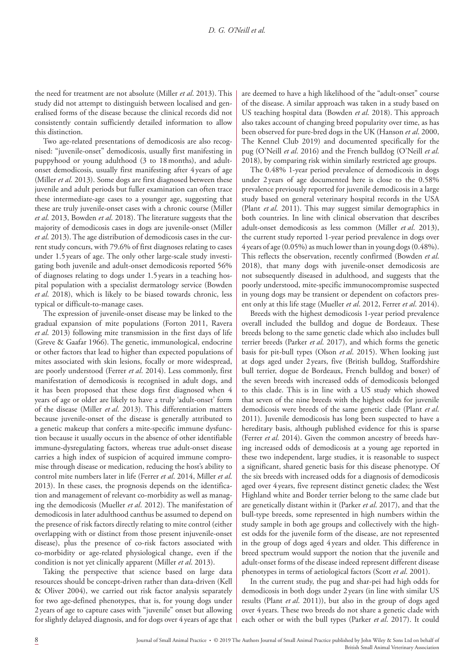the need for treatment are not absolute (Miller *et al*. 2013). This study did not attempt to distinguish between localised and generalised forms of the disease because the clinical records did not consistently contain sufficiently detailed information to allow this distinction.

Two age-related presentations of demodicosis are also recognised: "juvenile-onset" demodicosis, usually first manifesting in puppyhood or young adulthood (3 to 18months), and adultonset demodicosis, usually first manifesting after 4 years of age (Miller *et al*. 2013). Some dogs are first diagnosed between these juvenile and adult periods but fuller examination can often trace these intermediate-age cases to a younger age, suggesting that these are truly juvenile-onset cases with a chronic course (Miller *et al*. 2013, Bowden *et al*. 2018). The literature suggests that the majority of demodicosis cases in dogs are juvenile-onset (Miller *et al*. 2013). The age distribution of demodicosis cases in the current study concurs, with 79.6% of first diagnoses relating to cases under 1.5years of age. The only other large-scale study investigating both juvenile and adult-onset demodicosis reported 56% of diagnoses relating to dogs under 1.5years in a teaching hospital population with a specialist dermatology service (Bowden *et al*. 2018), which is likely to be biased towards chronic, less typical or difficult-to-manage cases.

The expression of juvenile-onset disease may be linked to the gradual expansion of mite populations (Forton 2011, Ravera *et al*. 2013) following mite transmission in the first days of life (Greve & Gaafar 1966). The genetic, immunological, endocrine or other factors that lead to higher than expected populations of mites associated with skin lesions, focally or more widespread, are poorly understood (Ferrer *et al*. 2014). Less commonly, first manifestation of demodicosis is recognised in adult dogs, and it has been proposed that these dogs first diagnosed when 4 years of age or older are likely to have a truly 'adult-onset' form of the disease (Miller *et al*. 2013). This differentiation matters because juvenile-onset of the disease is generally attributed to a genetic makeup that confers a mite-specific immune dysfunction because it usually occurs in the absence of other identifiable immune-dysregulating factors, whereas true adult-onset disease carries a high index of suspicion of acquired immune compromise through disease or medication, reducing the host's ability to control mite numbers later in life (Ferrer *et al*. 2014, Miller *et al*. 2013). In these cases, the prognosis depends on the identification and management of relevant co-morbidity as well as managing the demodicosis (Mueller *et al*. 2012). The manifestation of demodicosis in later adulthood canthus be assumed to depend on the presence of risk factors directly relating to mite control (either overlapping with or distinct from those present injuvenile-onset disease), plus the presence of co-risk factors associated with co-morbidity or age-related physiological change, even if the condition is not yet clinically apparent (Miller *et al*. 2013).

Taking the perspective that science based on large data resources should be concept-driven rather than data-driven (Kell & Oliver 2004), we carried out risk factor analysis separately for two age-defined phenotypes, that is, for young dogs under 2years of age to capture cases with "juvenile" onset but allowing for slightly delayed diagnosis, and for dogs over 4 years of age that are deemed to have a high likelihood of the "adult-onset" course of the disease. A similar approach was taken in a study based on US teaching hospital data (Bowden *et al*. 2018). This approach also takes account of changing breed popularity over time, as has been observed for pure-bred dogs in the UK (Hanson *et al*. 2000, The Kennel Club 2019) and documented specifically for the pug (O'Neill *et al*. 2016) and the French bulldog (O'Neill *et al*. 2018), by comparing risk within similarly restricted age groups.

The 0.48% 1-year period prevalence of demodicosis in dogs under 2 years of age documented here is close to the 0.58% prevalence previously reported for juvenile demodicosis in a large study based on general veterinary hospital records in the USA (Plant *et al*. 2011). This may suggest similar demographics in both countries. In line with clinical observation that describes adult-onset demodicosis as less common (Miller *et al*. 2013), the current study reported 1-year period prevalence in dogs over 4 years of age (0.05%) as much lower than in young dogs (0.48%). This reflects the observation, recently confirmed (Bowden *et al*. 2018), that many dogs with juvenile-onset demodicosis are not subsequently diseased in adulthood, and suggests that the poorly understood, mite-specific immunocompromise suspected in young dogs may be transient or dependent on cofactors present only at this life stage (Mueller *et al*. 2012, Ferrer *et al*. 2014).

Breeds with the highest demodicosis 1-year period prevalence overall included the bulldog and dogue de Bordeaux. These breeds belong to the same genetic clade which also includes bull terrier breeds (Parker *et al*. 2017), and which forms the genetic basis for pit-bull types (Olson *et al*. 2015). When looking just at dogs aged under 2 years, five (British bulldog, Staffordshire bull terrier, dogue de Bordeaux, French bulldog and boxer) of the seven breeds with increased odds of demodicosis belonged to this clade. This is in line with a US study which showed that seven of the nine breeds with the highest odds for juvenile demodicosis were breeds of the same genetic clade (Plant *et al*. 2011). Juvenile demodicosis has long been suspected to have a hereditary basis, although published evidence for this is sparse (Ferrer *et al*. 2014). Given the common ancestry of breeds having increased odds of demodicosis at a young age reported in these two independent, large studies, it is reasonable to suspect a significant, shared genetic basis for this disease phenotype. Of the six breeds with increased odds for a diagnosis of demodicosis aged over 4 years, five represent distinct genetic clades; the West Highland white and Border terrier belong to the same clade but are genetically distant within it (Parker *et al*. 2017), and that the bull-type breeds, some represented in high numbers within the study sample in both age groups and collectively with the highest odds for the juvenile form of the disease, are not represented in the group of dogs aged 4 years and older. This difference in breed spectrum would support the notion that the juvenile and adult-onset forms of the disease indeed represent different disease phenotypes in terms of aetiological factors (Scott *et al*. 2001).

In the current study, the pug and shar-pei had high odds for demodicosis in both dogs under 2years (in line with similar US results (Plant *et al*. 2011)), but also in the group of dogs aged over 4 years. These two breeds do not share a genetic clade with each other or with the bull types (Parker *et al*. 2017). It could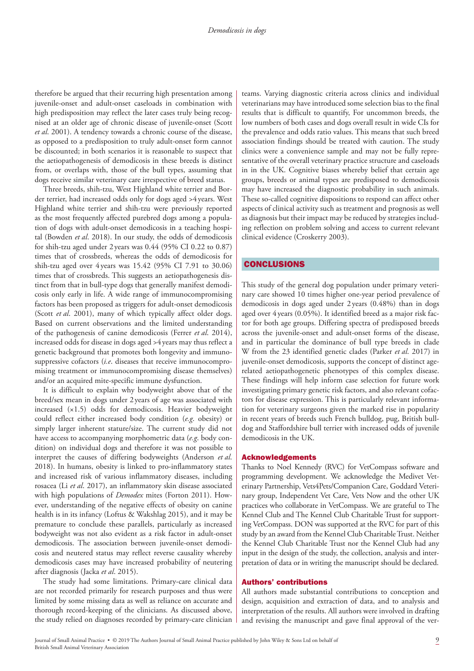therefore be argued that their recurring high presentation among juvenile-onset and adult-onset caseloads in combination with high predisposition may reflect the later cases truly being recognised at an older age of chronic disease of juvenile-onset (Scott *et al*. 2001). A tendency towards a chronic course of the disease, as opposed to a predisposition to truly adult-onset form cannot be discounted; in both scenarios it is reasonable to suspect that the aetiopathogenesis of demodicosis in these breeds is distinct from, or overlaps with, those of the bull types, assuming that dogs receive similar veterinary care irrespective of breed status.

Three breeds, shih-tzu, West Highland white terrier and Border terrier, had increased odds only for dogs aged >4years. West Highland white terrier and shih-tzu were previously reported as the most frequently affected purebred dogs among a population of dogs with adult-onset demodicosis in a teaching hospital (Bowden *et al*. 2018). In our study, the odds of demodicosis for shih-tzu aged under 2 years was 0.44 (95% CI 0.22 to 0.87) times that of crossbreds, whereas the odds of demodicosis for shih-tzu aged over 4 years was 15.42 (95% CI 7.91 to 30.06) times that of crossbreds. This suggests an aetiopathogenesis distinct from that in bull-type dogs that generally manifest demodicosis only early in life. A wide range of immunocompromising factors has been proposed as triggers for adult-onset demodicosis (Scott *et al*. 2001), many of which typically affect older dogs. Based on current observations and the limited understanding of the pathogenesis of canine demodicosis (Ferrer *et al*. 2014), increased odds for disease in dogs aged >4years may thus reflect a genetic background that promotes both longevity and immunosuppressive cofactors (*i.e*. diseases that receive immunocompromising treatment or immunocompromising disease themselves) and/or an acquired mite-specific immune dysfunction.

It is difficult to explain why bodyweight above that of the breed/sex mean in dogs under 2years of age was associated with increased (×1.5) odds for demodicosis. Heavier bodyweight could reflect either increased body condition (*e.g*. obesity) or simply larger inherent stature/size. The current study did not have access to accompanying morphometric data (*e.g*. body condition) on individual dogs and therefore it was not possible to interpret the causes of differing bodyweights (Anderson *et al*. 2018). In humans, obesity is linked to pro-inflammatory states and increased risk of various inflammatory diseases, including rosacea (Li *et al*. 2017), an inflammatory skin disease associated with high populations of *Demodex* mites (Forton 2011). However, understanding of the negative effects of obesity on canine health is in its infancy (Loftus & Wakshlag 2015), and it may be premature to conclude these parallels, particularly as increased bodyweight was not also evident as a risk factor in adult-onset demodicosis. The association between juvenile-onset demodicosis and neutered status may reflect reverse causality whereby demodicosis cases may have increased probability of neutering after diagnosis (Jacka *et al*. 2015).

The study had some limitations. Primary-care clinical data are not recorded primarily for research purposes and thus were limited by some missing data as well as reliance on accurate and thorough record-keeping of the clinicians. As discussed above, the study relied on diagnoses recorded by primary-care clinician teams. Varying diagnostic criteria across clinics and individual veterinarians may have introduced some selection bias to the final results that is difficult to quantify, For uncommon breeds, the low numbers of both cases and dogs overall result in wide CIs for the prevalence and odds ratio values. This means that such breed association findings should be treated with caution. The study clinics were a convenience sample and may not be fully representative of the overall veterinary practice structure and caseloads in in the UK. Cognitive biases whereby belief that certain age groups, breeds or animal types are predisposed to demodicosis may have increased the diagnostic probability in such animals. These so-called cognitive dispositions to respond can affect other aspects of clinical activity such as treatment and prognosis as well as diagnosis but their impact may be reduced by strategies including reflection on problem solving and access to current relevant clinical evidence (Croskerry 2003).

## CONCLUSIONS

This study of the general dog population under primary veterinary care showed 10 times higher one-year period prevalence of demodicosis in dogs aged under 2 years (0.48%) than in dogs aged over 4 years (0.05%). It identified breed as a major risk factor for both age groups. Differing spectra of predisposed breeds across the juvenile-onset and adult-onset forms of the disease, and in particular the dominance of bull type breeds in clade W from the 23 identified genetic clades (Parker *et al*. 2017) in juvenile-onset demodicosis, supports the concept of distinct agerelated aetiopathogenetic phenotypes of this complex disease. These findings will help inform case selection for future work investigating primary genetic risk factors, and also relevant cofactors for disease expression. This is particularly relevant information for veterinary surgeons given the marked rise in popularity in recent years of breeds such French bulldog, pug, British bulldog and Staffordshire bull terrier with increased odds of juvenile demodicosis in the UK.

#### Acknowledgements

Thanks to Noel Kennedy (RVC) for VetCompass software and programming development. We acknowledge the Medivet Veterinary Partnership, Vets4Pets/Companion Care, Goddard Veterinary group, Independent Vet Care, Vets Now and the other UK practices who collaborate in VetCompass. We are grateful to The Kennel Club and The Kennel Club Charitable Trust for supporting VetCompass. DON was supported at the RVC for part of this study by an award from the Kennel Club Charitable Trust. Neither the Kennel Club Charitable Trust nor the Kennel Club had any input in the design of the study, the collection, analysis and interpretation of data or in writing the manuscript should be declared.

## Authors' contributions

All authors made substantial contributions to conception and design, acquisition and extraction of data, and to analysis and interpretation of the results. All authors were involved in drafting and revising the manuscript and gave final approval of the ver